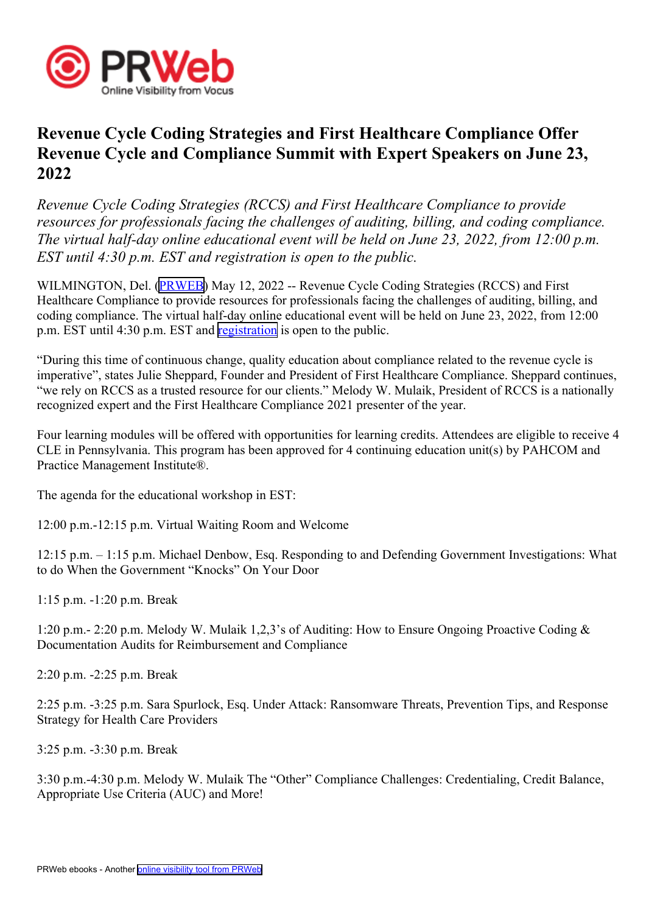

## **Revenue Cycle Coding Strategies and First Healthcare Compliance Offer Revenue Cycle and Compliance Summit with Expert Speakers on June 23, 2022**

*Revenue Cycle Coding Strategies (RCCS) and First Healthcare Compliance to provide resources for professionals facing the challenges of auditing, billing, and coding compliance. The virtual half-day online educational event will be held on June 23, 2022, from 12:00 p.m. EST until 4:30 p.m. EST and registration is open to the public.*

WILMINGTON, Del. ([PRWEB](http://www.prweb.com)) May 12, 2022 -- Revenue Cycle Coding Strategies (RCCS) and First Healthcare Compliance to provide resources for professionals facing the challenges of auditing, billing, and coding compliance. The virtual half-day online educational event will be held on June 23, 2022, from 12:00 p.m. EST until 4:30 p.m. EST and reg[istration](https://www.eventbrite.com/e/revenue-cycle-and-compliance-summit-tickets-333102748287) is open to the public.

"During this time of continuous change, quality education about compliance related to the revenue cycle is imperative", states Julie Sheppard, Founder and President of First Healthcare Compliance. Sheppard continues, "we rely on RCCS as <sup>a</sup> trusted resource for our clients." Melody W. Mulaik, President of RCCS is <sup>a</sup> nationally recognized exper<sup>t</sup> and the First Healthcare Compliance 2021 presenter of the year.

Four learning modules will be offered with opportunities for learning credits. Attendees are eligible to receive 4 CLE in Pennsylvania. This program has been approved for 4 continuing education unit(s) by PAHCOM and Practice Management Institute®.

The agenda for the educational workshop in EST:

12:00 p.m.-12:15 p.m. Virtual Waiting Room and Welcome

12:15 p.m. – 1:15 p.m. Michael Denbow, Esq. Responding to and Defending Government Investigations: What to do When the Government "Knocks" On Your Door

1:15 p.m. -1:20 p.m. Break

1:20 p.m.- 2:20 p.m. Melody W. Mulaik 1,2,3's of Auditing: How to Ensure Ongoing Proactive Coding & Documentation Audits for Reimbursement and Compliance

2:20 p.m. -2:25 p.m. Break

2:25 p.m. -3:25 p.m. Sara Spurlock, Esq. Under Attack: Ransomware Threats, Prevention Tips, and Response Strategy for Health Care Providers

3:25 p.m. -3:30 p.m. Break

3:30 p.m.-4:30 p.m. Melody W. Mulaik The "Other" Compliance Challenges: Credentialing, Credit Balance, Appropriate Use Criteria (AUC) and More!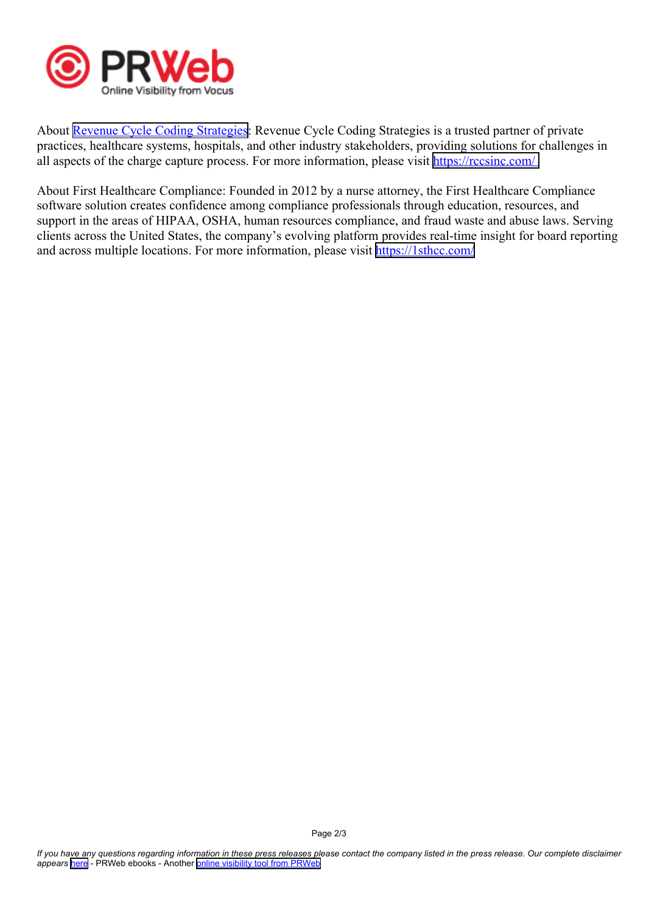

About Revenue Cycle Coding [Strategies](https://rccsinc.com/): Revenue Cycle Coding Strategies is a trusted partner of private practices, healthcare systems, hospitals, and other industry stakeholders, providing solutions for challenges in all aspects of the charge capture process. For more information, please visit <https://rccsinc.com/>

About First Healthcare Compliance: Founded in 2012 by <sup>a</sup> nurse attorney, the First Healthcare Compliance software solution creates confidence among compliance professionals through education, resources, and suppor<sup>t</sup> in the areas of HIPAA, OSHA, human resources compliance, and fraud waste and abuse laws. Serving clients across the United States, the company's evolving platform provides real-time insight for board reporting and across multiple locations. For more information, please visit <https://1sthcc.com/>